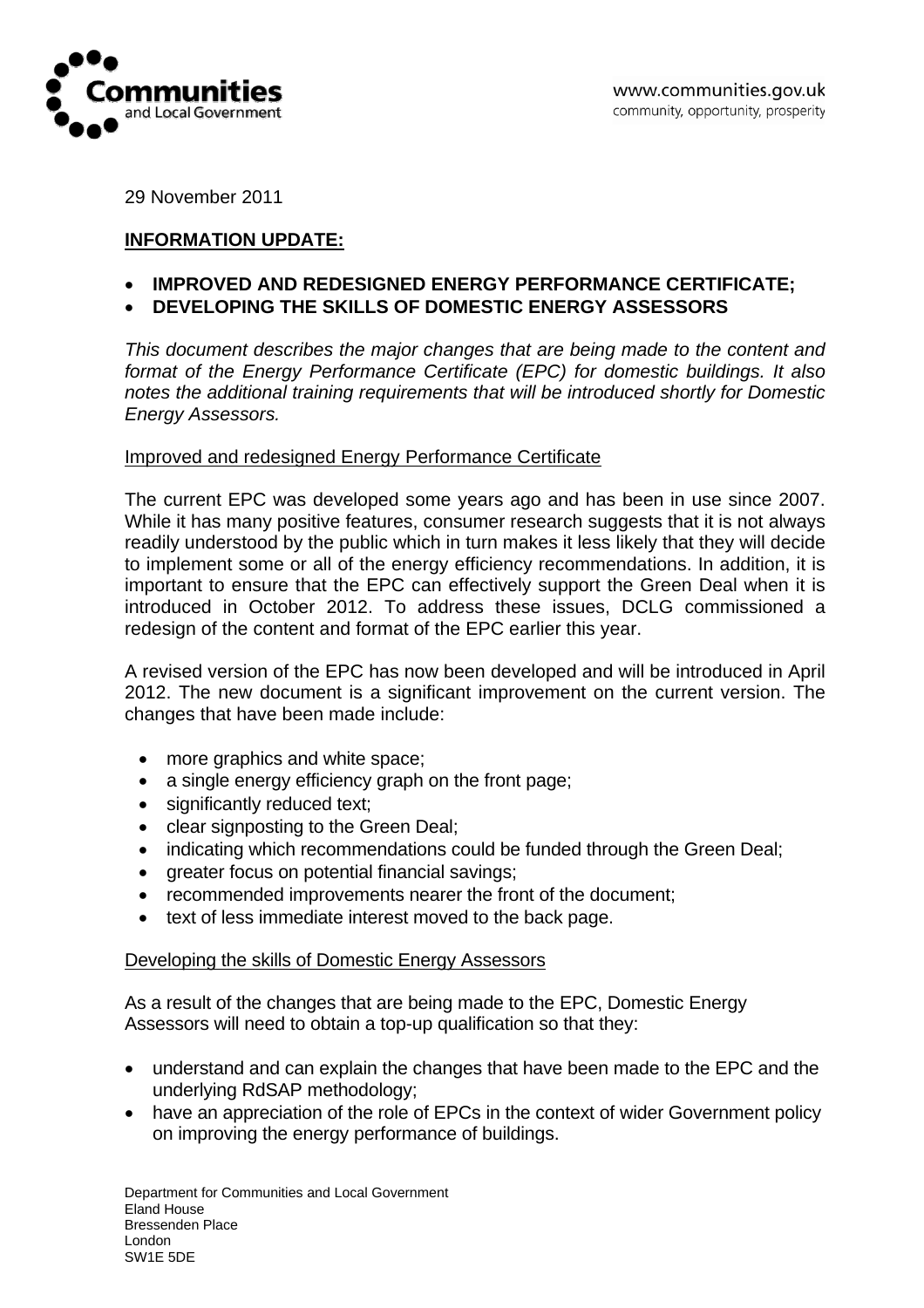

29 November 2011

## **INFORMATION UPDATE:**

- **IMPROVED AND REDESIGNED ENERGY PERFORMANCE CERTIFICATE;**
- **DEVELOPING THE SKILLS OF DOMESTIC ENERGY ASSESSORS**

*This document describes the major changes that are being made to the content and format of the Energy Performance Certificate (EPC) for domestic buildings. It also notes the additional training requirements that will be introduced shortly for Domestic Energy Assessors.* 

## Improved and redesigned Energy Performance Certificate

The current EPC was developed some years ago and has been in use since 2007. While it has many positive features, consumer research suggests that it is not always readily understood by the public which in turn makes it less likely that they will decide to implement some or all of the energy efficiency recommendations. In addition, it is important to ensure that the EPC can effectively support the Green Deal when it is introduced in October 2012. To address these issues, DCLG commissioned a redesign of the content and format of the EPC earlier this year.

A revised version of the EPC has now been developed and will be introduced in April 2012. The new document is a significant improvement on the current version. The changes that have been made include:

- more graphics and white space;
- a single energy efficiency graph on the front page;
- significantly reduced text;
- clear signposting to the Green Deal;
- indicating which recommendations could be funded through the Green Deal;
- greater focus on potential financial savings;
- recommended improvements nearer the front of the document;
- text of less immediate interest moved to the back page.

## Developing the skills of Domestic Energy Assessors

As a result of the changes that are being made to the EPC, Domestic Energy Assessors will need to obtain a top-up qualification so that they:

- understand and can explain the changes that have been made to the EPC and the underlying RdSAP methodology;
- have an appreciation of the role of EPCs in the context of wider Government policy on improving the energy performance of buildings.